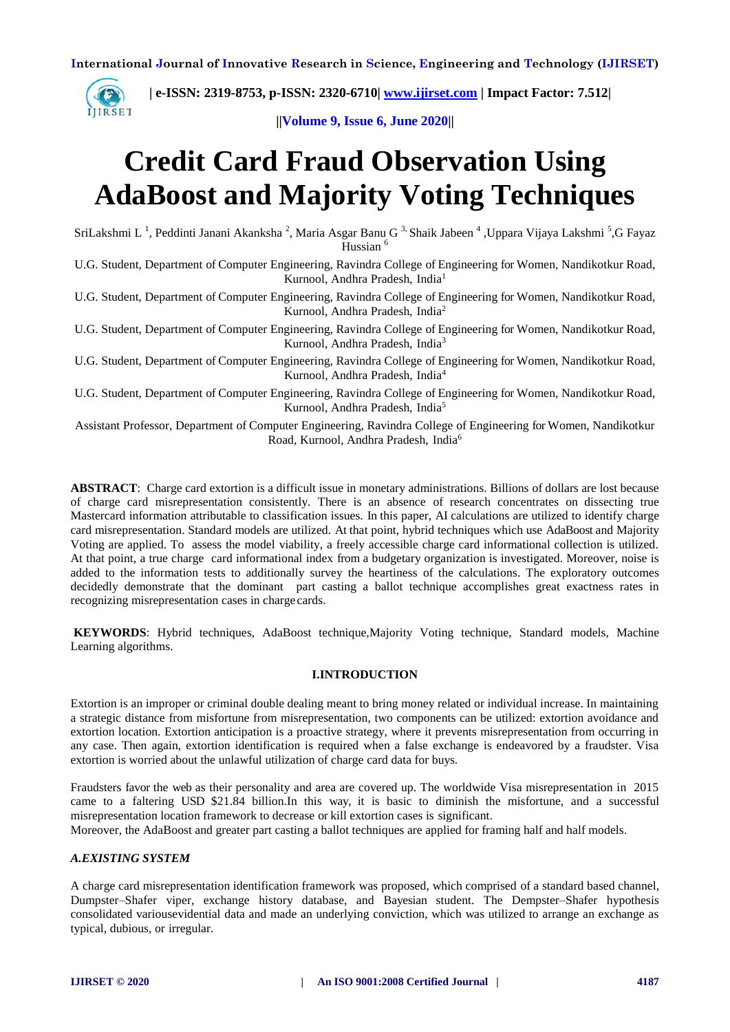

 **| e-ISSN: 2319-8753, p-ISSN: 2320-6710| [www.ijirset.com](http://www.ijirset.com/) | Impact Factor: 7.512|**

**||Volume 9, Issue 6, June 2020||** 

# **Credit Card Fraud Observation Using AdaBoost and Majority Voting Techniques**

SriLakshmi L<sup>1</sup>, Peddinti Janani Akanksha<sup>2</sup>, Maria Asgar Banu G<sup>3,</sup> Shaik Jabeen <sup>4</sup>, Uppara Vijaya Lakshmi<sup>5</sup>,G Fayaz Hussian<sup>6</sup>

U.G. Student, Department of Computer Engineering, Ravindra College of Engineering for Women, Nandikotkur Road, Kurnool, Andhra Pradesh, India<sup>1</sup>

U.G. Student, Department of Computer Engineering, Ravindra College of Engineering for Women, Nandikotkur Road, Kurnool, Andhra Pradesh, India<sup>2</sup>

U.G. Student, Department of Computer Engineering, Ravindra College of Engineering for Women, Nandikotkur Road, Kurnool, Andhra Pradesh, India<sup>3</sup>

U.G. Student, Department of Computer Engineering, Ravindra College of Engineering for Women, Nandikotkur Road, Kurnool, Andhra Pradesh, India<sup>4</sup>

U.G. Student, Department of Computer Engineering, Ravindra College of Engineering for Women, Nandikotkur Road, Kurnool, Andhra Pradesh, India<sup>5</sup>

Assistant Professor, Department of Computer Engineering, Ravindra College of Engineering for Women, Nandikotkur Road, Kurnool, Andhra Pradesh, India<sup>6</sup>

**ABSTRACT**: Charge card extortion is a difficult issue in monetary administrations. Billions of dollars are lost because of charge card misrepresentation consistently. There is an absence of research concentrates on dissecting true Mastercard information attributable to classification issues. In this paper, AI calculations are utilized to identify charge card misrepresentation. Standard models are utilized. At that point, hybrid techniques which use AdaBoost and Majority Voting are applied. To assess the model viability, a freely accessible charge card informational collection is utilized. At that point, a true charge card informational index from a budgetary organization is investigated. Moreover, noise is added to the information tests to additionally survey the heartiness of the calculations. The exploratory outcomes decidedly demonstrate that the dominant part casting a ballot technique accomplishes great exactness rates in recognizing misrepresentation cases in charge cards.

**KEYWORDS**: Hybrid techniques, AdaBoost technique,Majority Voting technique, Standard models, Machine Learning algorithms.

# **I.INTRODUCTION**

Extortion is an improper or criminal double dealing meant to bring money related or individual increase. In maintaining a strategic distance from misfortune from misrepresentation, two components can be utilized: extortion avoidance and extortion location. Extortion anticipation is a proactive strategy, where it prevents misrepresentation from occurring in any case. Then again, extortion identification is required when a false exchange is endeavored by a fraudster. Visa extortion is worried about the unlawful utilization of charge card data for buys.

Fraudsters favor the web as their personality and area are covered up. The worldwide Visa misrepresentation in 2015 came to a faltering USD \$21.84 billion.In this way, it is basic to diminish the misfortune, and a successful misrepresentation location framework to decrease or kill extortion cases is significant.

Moreover, the AdaBoost and greater part casting a ballot techniques are applied for framing half and half models.

# *A.EXISTING SYSTEM*

A charge card misrepresentation identification framework was proposed, which comprised of a standard based channel, Dumpster–Shafer viper, exchange history database, and Bayesian student. The Dempster–Shafer hypothesis consolidated variousevidential data and made an underlying conviction, which was utilized to arrange an exchange as typical, dubious, or irregular.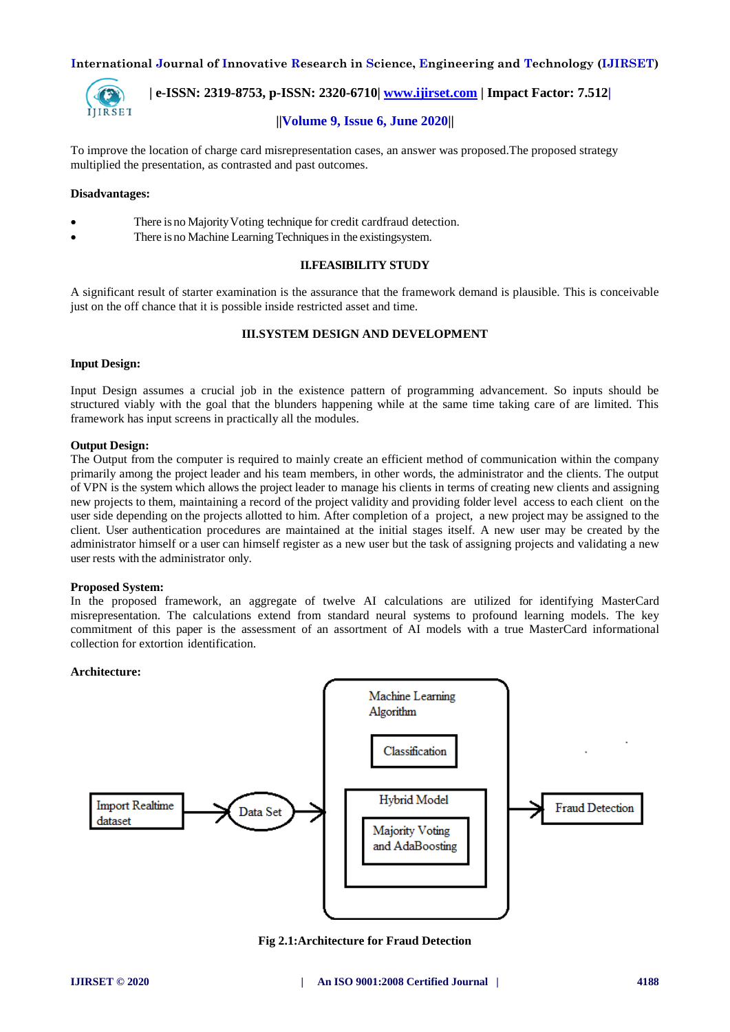

 **| e-ISSN: 2319-8753, p-ISSN: 2320-6710| [www.ijirset.com](http://www.ijirset.com/) | Impact Factor: 7.512|**

# **||Volume 9, Issue 6, June 2020||**

To improve the location of charge card misrepresentation cases, an answer was proposed.The proposed strategy multiplied the presentation, as contrasted and past outcomes.

# **Disadvantages:**

- There is no Majority Voting technique for credit cardfraud detection.
- There is no Machine Learning Techniques in the existingsystem.

## **II.FEASIBILITY STUDY**

A significant result of starter examination is the assurance that the framework demand is plausible. This is conceivable just on the off chance that it is possible inside restricted asset and time.

# **III.SYSTEM DESIGN AND DEVELOPMENT**

#### **Input Design:**

Input Design assumes a crucial job in the existence pattern of programming advancement. So inputs should be structured viably with the goal that the blunders happening while at the same time taking care of are limited. This framework has input screens in practically all the modules.

#### **Output Design:**

The Output from the computer is required to mainly create an efficient method of communication within the company primarily among the project leader and his team members, in other words, the administrator and the clients. The output of VPN is the system which allows the project leader to manage his clients in terms of creating new clients and assigning new projects to them, maintaining a record of the project validity and providing folder level access to each client on the user side depending on the projects allotted to him. After completion of a project, a new project may be assigned to the client. User authentication procedures are maintained at the initial stages itself. A new user may be created by the administrator himself or a user can himself register as a new user but the task of assigning projects and validating a new user rests with the administrator only.

#### **Proposed System:**

In the proposed framework, an aggregate of twelve AI calculations are utilized for identifying MasterCard misrepresentation. The calculations extend from standard neural systems to profound learning models. The key commitment of this paper is the assessment of an assortment of AI models with a true MasterCard informational collection for extortion identification.

## **Architecture:**



**Fig 2.1:Architecture for Fraud Detection**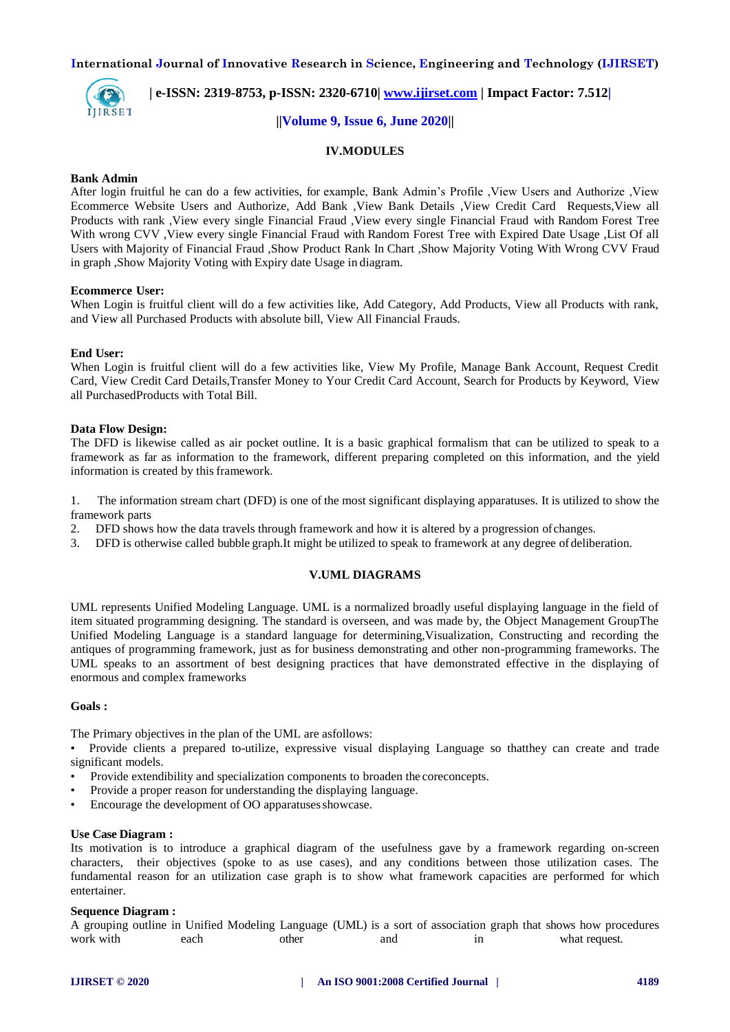

# **| e-ISSN: 2319-8753, p-ISSN: 2320-6710| [www.ijirset.com](http://www.ijirset.com/) | Impact Factor: 7.512|**

# **||Volume 9, Issue 6, June 2020||**

# **IV.MODULES**

### **Bank Admin**

After login fruitful he can do a few activities, for example, Bank Admin's Profile ,View Users and Authorize ,View Ecommerce Website Users and Authorize, Add Bank ,View Bank Details ,View Credit Card Requests,View all Products with rank ,View every single Financial Fraud ,View every single Financial Fraud with Random Forest Tree With wrong CVV ,View every single Financial Fraud with Random Forest Tree with Expired Date Usage ,List Of all Users with Majority of Financial Fraud ,Show Product Rank In Chart ,Show Majority Voting With Wrong CVV Fraud in graph ,Show Majority Voting with Expiry date Usage in diagram.

#### **Ecommerce User:**

When Login is fruitful client will do a few activities like, Add Category, Add Products, View all Products with rank, and View all Purchased Products with absolute bill, View All Financial Frauds.

#### **End User:**

When Login is fruitful client will do a few activities like, View My Profile, Manage Bank Account, Request Credit Card, View Credit Card Details,Transfer Money to Your Credit Card Account, Search for Products by Keyword, View all PurchasedProducts with Total Bill.

#### **Data Flow Design:**

The DFD is likewise called as air pocket outline. It is a basic graphical formalism that can be utilized to speak to a framework as far as information to the framework, different preparing completed on this information, and the yield information is created by this framework.

1. The information stream chart (DFD) is one of the most significant displaying apparatuses. It is utilized to show the framework parts

- 2. DFD shows how the data travels through framework and how it is altered by a progression ofchanges.
- 3. DFD is otherwise called bubble graph.It might be utilized to speak to framework at any degree ofdeliberation.

## **V.UML DIAGRAMS**

UML represents Unified Modeling Language. UML is a normalized broadly useful displaying language in the field of item situated programming designing. The standard is overseen, and was made by, the Object Management GroupThe Unified Modeling Language is a standard language for determining,Visualization, Constructing and recording the antiques of programming framework, just as for business demonstrating and other non-programming frameworks. The UML speaks to an assortment of best designing practices that have demonstrated effective in the displaying of enormous and complex frameworks

# **Goals :**

The Primary objectives in the plan of the UML are asfollows:

• Provide clients a prepared to-utilize, expressive visual displaying Language so thatthey can create and trade significant models.

- Provide extendibility and specialization components to broaden the coreconcepts.
- Provide a proper reason for understanding the displaying language.
- Encourage the development of OO apparatuses showcase.

#### **Use Case Diagram :**

Its motivation is to introduce a graphical diagram of the usefulness gave by a framework regarding on-screen characters, their objectives (spoke to as use cases), and any conditions between those utilization cases. The fundamental reason for an utilization case graph is to show what framework capacities are performed for which entertainer.

#### **Sequence Diagram :**

A grouping outline in Unified Modeling Language (UML) is a sort of association graph that shows how procedures work with each other and in what request.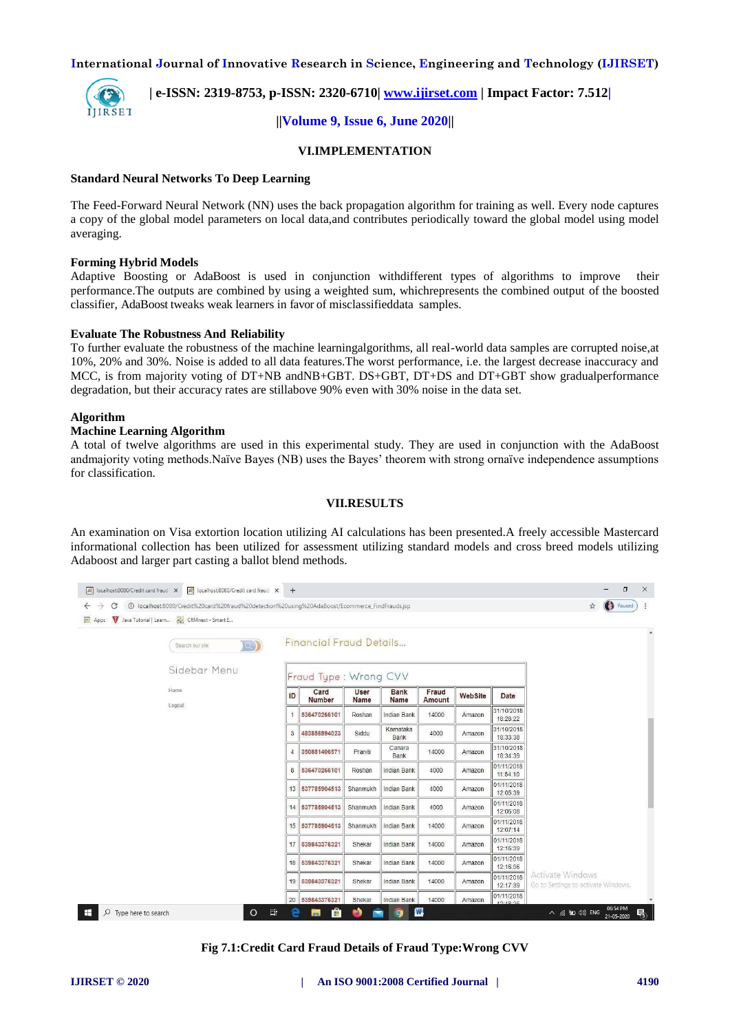

# **| e-ISSN: 2319-8753, p-ISSN: 2320-6710| [www.ijirset.com](http://www.ijirset.com/) | Impact Factor: 7.512|**

# **||Volume 9, Issue 6, June 2020||**

## **VI.IMPLEMENTATION**

### **Standard Neural Networks To Deep Learning**

The Feed-Forward Neural Network (NN) uses the back propagation algorithm for training as well. Every node captures a copy of the global model parameters on local data,and contributes periodically toward the global model using model averaging.

### **Forming Hybrid Models**

Adaptive Boosting or AdaBoost is used in conjunction withdifferent types of algorithms to improve their performance.The outputs are combined by using a weighted sum, whichrepresents the combined output of the boosted classifier, AdaBoost tweaks weak learners in favor of misclassifieddata samples.

### **Evaluate The Robustness And Reliability**

To further evaluate the robustness of the machine learningalgorithms, all real-world data samples are corrupted noise,at 10%, 20% and 30%. Noise is added to all data features.The worst performance, i.e. the largest decrease inaccuracy and MCC, is from majority voting of DT+NB andNB+GBT. DS+GBT, DT+DS and DT+GBT show gradualperformance degradation, but their accuracy rates are stillabove 90% even with 30% noise in the data set.

### **Algorithm**

# **Machine Learning Algorithm**

A total of twelve algorithms are used in this experimental study. They are used in conjunction with the AdaBoost andmajority voting methods.Naïve Bayes (NB) uses the Bayes' theorem with strong ornaïve independence assumptions for classification.

### **VII.RESULTS**

An examination on Visa extortion location utilizing AI calculations has been presented.A freely accessible Mastercard informational collection has been utilized for assessment utilizing standard models and cross breed models utilizing Adaboost and larger part casting a ballot blend methods.



**Fig 7.1:Credit Card Fraud Details of Fraud Type:Wrong CVV**